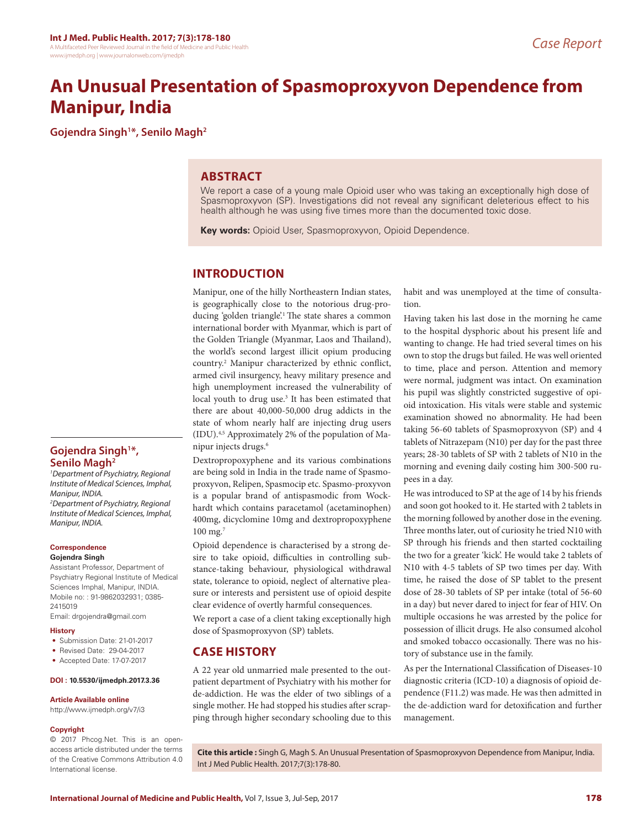# **An Unusual Presentation of Spasmoproxyvon Dependence from Manipur, India**

**Gojendra Singh1 \*, Senilo Magh2**

## **ABSTRACT**

We report a case of a young male Opioid user who was taking an exceptionally high dose of Spasmoproxyvon (SP). Investigations did not reveal any significant deleterious effect to his health although he was using five times more than the documented toxic dose.

**Key words:** Opioid User, Spasmoproxyvon, Opioid Dependence.

## **INTRODUCTION**

Manipur, one of the hilly Northeastern Indian states, is geographically close to the notorious drug-producing 'golden triangle'.1 The state shares a common international border with Myanmar, which is part of the Golden Triangle (Myanmar, Laos and Thailand), the world's second largest illicit opium producing country.2 Manipur characterized by ethnic conflict, armed civil insurgency, heavy military presence and high unemployment increased the vulnerability of local youth to drug use.<sup>3</sup> It has been estimated that there are about 40,000-50,000 drug addicts in the state of whom nearly half are injecting drug users (IDU).4,5 Approximately 2% of the population of Manipur injects drugs.6

Dextropropoxyphene and its various combinations are being sold in India in the trade name of Spasmoproxyvon, Relipen, Spasmocip etc. Spasmo-proxyvon is a popular brand of antispasmodic from Wockhardt which contains paracetamol (acetaminophen) 400mg, dicyclomine 10mg and dextropropoxyphene 100 mg.7

Opioid dependence is characterised by a strong desire to take opioid, difficulties in controlling substance-taking behaviour, physiological withdrawal state, tolerance to opioid, neglect of alternative pleasure or interests and persistent use of opioid despite clear evidence of overtly harmful consequences.

We report a case of a client taking exceptionally high dose of Spasmoproxyvon (SP) tablets.

## **CASE HISTORY**

A 22 year old unmarried male presented to the outpatient department of Psychiatry with his mother for de-addiction. He was the elder of two siblings of a single mother. He had stopped his studies after scrapping through higher secondary schooling due to this habit and was unemployed at the time of consultation.

Having taken his last dose in the morning he came to the hospital dysphoric about his present life and wanting to change. He had tried several times on his own to stop the drugs but failed. He was well oriented to time, place and person. Attention and memory were normal, judgment was intact. On examination his pupil was slightly constricted suggestive of opioid intoxication. His vitals were stable and systemic examination showed no abnormality. He had been taking 56-60 tablets of Spasmoproxyvon (SP) and 4 tablets of Nitrazepam (N10) per day for the past three years; 28-30 tablets of SP with 2 tablets of N10 in the morning and evening daily costing him 300-500 rupees in a day.

He was introduced to SP at the age of 14 by his friends and soon got hooked to it. He started with 2 tablets in the morning followed by another dose in the evening. Three months later, out of curiosity he tried N10 with SP through his friends and then started cocktailing the two for a greater 'kick'. He would take 2 tablets of N10 with 4-5 tablets of SP two times per day. With time, he raised the dose of SP tablet to the present dose of 28-30 tablets of SP per intake (total of 56-60 in a day) but never dared to inject for fear of HIV. On multiple occasions he was arrested by the police for possession of illicit drugs. He also consumed alcohol and smoked tobacco occasionally. There was no history of substance use in the family.

As per the International Classification of Diseases-10 diagnostic criteria (ICD-10) a diagnosis of opioid dependence (F11.2) was made. He was then admitted in the de-addiction ward for detoxification and further management.

## **Gojendra Singh1 \*, Senilo Magh2**

*1 Department of Psychiatry, Regional Institute of Medical Sciences, Imphal, Manipur, INDIA.*

*2 Department of Psychiatry, Regional Institute of Medical Sciences, Imphal, Manipur, INDIA.*

#### **Correspondence**

#### **Gojendra Singh**

Assistant Professor, Department of Psychiatry Regional Institute of Medical Sciences Imphal, Manipur, INDIA. Mobile no: : 91-9862032931; 0385- 2415019

Email: drgojendra@gmail.com

#### **History**

- Submission Date: 21-01-2017
- Revised Date: 29-04-2017
- Accepted Date: 17-07-2017

#### **DOI : 10.5530/ijmedph.2017.3.36**

#### **Article Available online**

http://www.ijmedph.org/v7/i3

#### **Copyright**

© 2017 Phcog.Net. This is an openaccess article distributed under the terms of the Creative Commons Attribution 4.0 International license.

**Cite this article :** Singh G, Magh S. An Unusual Presentation of Spasmoproxyvon Dependence from Manipur, India. Int J Med Public Health. 2017;7(3):178-80.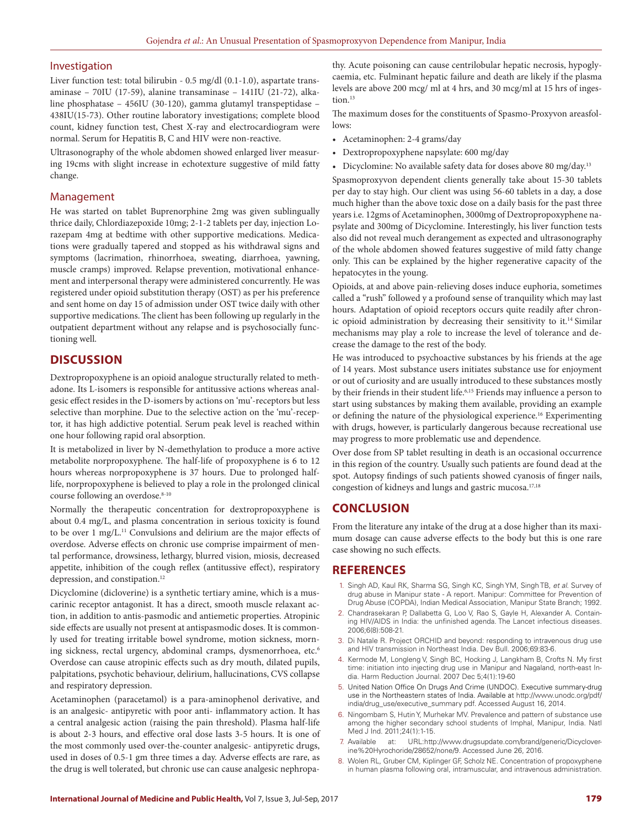#### Investigation

Liver function test: total bilirubin - 0.5 mg/dl (0.1-1.0), aspartate transaminase – 70IU (17-59), alanine transaminase – 141IU (21-72), alkaline phosphatase – 456IU (30-120), gamma glutamyl transpeptidase – 438IU(15-73). Other routine laboratory investigations; complete blood count, kidney function test, Chest X-ray and electrocardiogram were normal. Serum for Hepatitis B, C and HIV were non-reactive.

Ultrasonography of the whole abdomen showed enlarged liver measuring 19cms with slight increase in echotexture suggestive of mild fatty change.

#### Management

He was started on tablet Buprenorphine 2mg was given sublingually thrice daily, Chlordiazepoxide 10mg; 2-1-2 tablets per day, injection Lorazepam 4mg at bedtime with other supportive medications. Medications were gradually tapered and stopped as his withdrawal signs and symptoms (lacrimation, rhinorrhoea, sweating, diarrhoea, yawning, muscle cramps) improved. Relapse prevention, motivational enhancement and interpersonal therapy were administered concurrently. He was registered under opioid substitution therapy (OST) as per his preference and sent home on day 15 of admission under OST twice daily with other supportive medications. The client has been following up regularly in the outpatient department without any relapse and is psychosocially functioning well.

## **DISCUSSION**

Dextropropoxyphene is an opioid analogue structurally related to methadone. Its L-isomers is responsible for antitussive actions whereas analgesic effect resides in the D-isomers by actions on 'mu'-receptors but less selective than morphine. Due to the selective action on the 'mu'-receptor, it has high addictive potential. Serum peak level is reached within one hour following rapid oral absorption.

It is metabolized in liver by N-demethylation to produce a more active metabolite norpropoxyphene. The half-life of propoxyphene is 6 to 12 hours whereas norpropoxyphene is 37 hours. Due to prolonged halflife, norpropoxyphene is believed to play a role in the prolonged clinical course following an overdose.<sup>8-10</sup>

Normally the therapeutic concentration for dextropropoxyphene is about 0.4 mg/L, and plasma concentration in serious toxicity is found to be over 1 mg/L.11 Convulsions and delirium are the major effects of overdose. Adverse effects on chronic use comprise impairment of mental performance, drowsiness, lethargy, blurred vision, miosis, decreased appetite, inhibition of the cough reflex (antitussive effect), respiratory depression, and constipation.<sup>12</sup>

Dicyclomine (dicloverine) is a synthetic tertiary amine, which is a muscarinic receptor antagonist. It has a direct, smooth muscle relaxant action, in addition to antis-pasmodic and antiemetic properties. Atropinic side effects are usually not present at antispasmodic doses. It is commonly used for treating irritable bowel syndrome, motion sickness, morning sickness, rectal urgency, abdominal cramps, dysmenorrhoea, etc.<sup>6</sup> Overdose can cause atropinic effects such as dry mouth, dilated pupils, palpitations, psychotic behaviour, delirium, hallucinations, CVS collapse and respiratory depression.

Acetaminophen (paracetamol) is a para-aminophenol derivative, and is an analgesic- antipyretic with poor anti- inflammatory action. It has a central analgesic action (raising the pain threshold). Plasma half-life is about 2-3 hours, and effective oral dose lasts 3-5 hours. It is one of the most commonly used over-the-counter analgesic- antipyretic drugs, used in doses of 0.5-1 gm three times a day. Adverse effects are rare, as the drug is well tolerated, but chronic use can cause analgesic nephropathy. Acute poisoning can cause centrilobular hepatic necrosis, hypoglycaemia, etc. Fulminant hepatic failure and death are likely if the plasma levels are above 200 mcg/ ml at 4 hrs, and 30 mcg/ml at 15 hrs of ingestion $13$ 

The maximum doses for the constituents of Spasmo-Proxyvon areasfollows:

- Acetaminophen: 2-4 grams/day
- Dextropropoxyphene napsylate: 600 mg/day
- Dicyclomine: No available safety data for doses above 80 mg/day.13

Spasmoproxyvon dependent clients generally take about 15-30 tablets per day to stay high. Our client was using 56-60 tablets in a day, a dose much higher than the above toxic dose on a daily basis for the past three years i.e. 12gms of Acetaminophen, 3000mg of Dextropropoxyphene napsylate and 300mg of Dicyclomine. Interestingly, his liver function tests also did not reveal much derangement as expected and ultrasonography of the whole abdomen showed features suggestive of mild fatty change only. This can be explained by the higher regenerative capacity of the hepatocytes in the young.

Opioids, at and above pain-relieving doses induce euphoria, sometimes called a "rush" followed y a profound sense of tranquility which may last hours. Adaptation of opioid receptors occurs quite readily after chronic opioid administration by decreasing their sensitivity to it.<sup>14</sup> Similar mechanisms may play a role to increase the level of tolerance and decrease the damage to the rest of the body.

He was introduced to psychoactive substances by his friends at the age of 14 years. Most substance users initiates substance use for enjoyment or out of curiosity and are usually introduced to these substances mostly by their friends in their student life.6,15 Friends may influence a person to start using substances by making them available, providing an example or defining the nature of the physiological experience.16 Experimenting with drugs, however, is particularly dangerous because recreational use may progress to more problematic use and dependence.

Over dose from SP tablet resulting in death is an occasional occurrence in this region of the country. Usually such patients are found dead at the spot. Autopsy findings of such patients showed cyanosis of finger nails, congestion of kidneys and lungs and gastric mucosa.<sup>17,18</sup>

### **CONCLUSION**

From the literature any intake of the drug at a dose higher than its maximum dosage can cause adverse effects to the body but this is one rare case showing no such effects.

#### **REFERENCES**

- 1. Singh AD, Kaul RK, Sharma SG, Singh KC, Singh YM, Singh TB, *et al*. Survey of drug abuse in Manipur state - A report. Manipur: Committee for Prevention of Drug Abuse (COPDA), Indian Medical Association, Manipur State Branch; 1992.
- 2. Chandrasekaran P, Dallabetta G, Loo V, Rao S, Gayle H, Alexander A. Containing HIV/AIDS in India: the unfinished agenda. The Lancet infectious diseases. 2006;6(8):508-21.
- 3. Di Natale R. Project ORCHID and beyond: responding to intravenous drug use and HIV transmission in Northeast India. Dev Bull. 2006;69:83-6.
- 4. Kermode M, Longleng V, Singh BC, Hocking J, Langkham B, Crofts N. My first time: initiation into injecting drug use in Manipur and Nagaland, north-east India. Harm Reduction Journal. 2007 Dec 5;4(1):19-60
- 5. United Nation Office On Drugs And Crime (UNDOC). Executive summary-drug use in the Northeastern states of India. Available at http://www.unodc.org/pdf/ india/drug\_use/executive\_summary pdf. Accessed August 16, 2014.
- 6. Ningombam S, Hutin Y, Murhekar MV. Prevalence and pattern of substance use among the higher secondary school students of Imphal, Manipur, India. Natl Med J Ind. 2011;24(1):1-15.
- 7. Available at: URL:http://www.drugsupdate.com/brand/generic/Dicycloverine%20Hyrochoride/28652/none/9. Accessed June 26, 2016.
- 8. Wolen RL, Gruber CM, Kiplinger GF, Scholz NE. Concentration of propoxyphene in human plasma following oral, intramuscular, and intravenous administration.